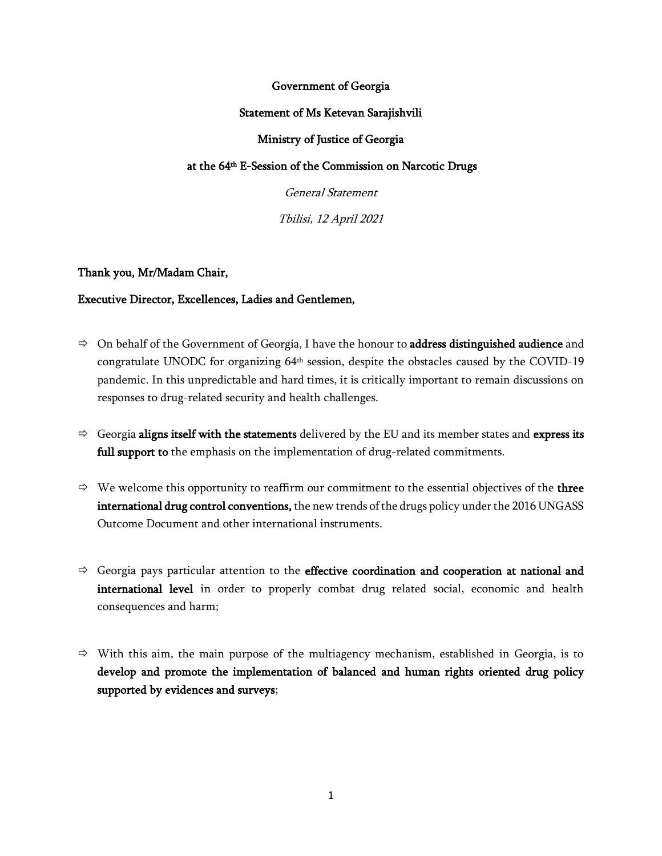# Government of Georgia

#### Statement of Ms Ketevan Sarajishvili

# Ministry of Justice of Georgia

# at the 64 th E-Session of the Commission on Narcotic Drugs

General Statement

Tbilisi, 12 April 2021

#### Thank you, Mr/Madam Chair,

#### Executive Director, Excellences, Ladies and Gentlemen,

- $\Rightarrow$  On behalf of the Government of Georgia, I have the honour to **address distinguished audience** and congratulate UNODC for organizing  $64<sup>th</sup>$  session, despite the obstacles caused by the COVID-19 pandemic. In this unpredictable and hard times, it is critically important to remain discussions on responses to drug-related security and health challenges.
- $\Rightarrow$  Georgia aligns itself with the statements delivered by the EU and its member states and express its full support to the emphasis on the implementation of drug-related commitments.
- $\Rightarrow$  We welcome this opportunity to reaffirm our commitment to the essential objectives of the **three** international drug control conventions, the new trends of the drugs policy under the 2016 UNGASS Outcome Document and other international instruments.
- $\Rightarrow$  Georgia pays particular attention to the effective coordination and cooperation at national and international level in order to properly combat drug related social, economic and health consequences and harm;
- $\Rightarrow$  With this aim, the main purpose of the multiagency mechanism, established in Georgia, is to develop and promote the implementation of balanced and human rights oriented drug policy supported by evidences and surveys;